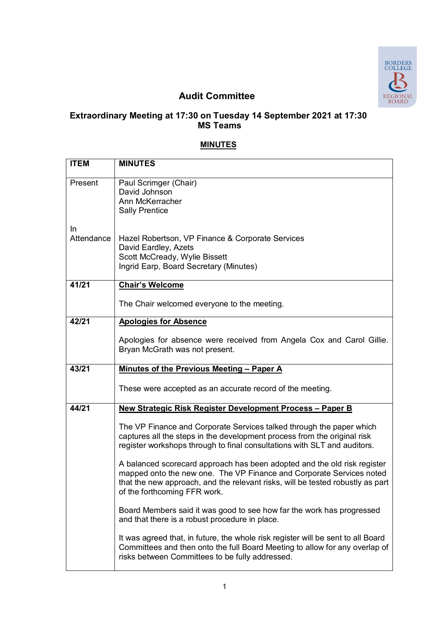

## **Audit Committee**

## **Extraordinary Meeting at 17:30 on Tuesday 14 September 2021 at 17:30 MS Teams**

## **MINUTES**

| <b>ITEM</b>      | <b>MINUTES</b>                                                                                                                                                                                                                                                     |
|------------------|--------------------------------------------------------------------------------------------------------------------------------------------------------------------------------------------------------------------------------------------------------------------|
| Present          | Paul Scrimger (Chair)<br>David Johnson<br>Ann McKerracher<br><b>Sally Prentice</b>                                                                                                                                                                                 |
| In<br>Attendance | Hazel Robertson, VP Finance & Corporate Services<br>David Eardley, Azets<br>Scott McCready, Wylie Bissett<br>Ingrid Earp, Board Secretary (Minutes)                                                                                                                |
| 41/21            | <b>Chair's Welcome</b>                                                                                                                                                                                                                                             |
|                  | The Chair welcomed everyone to the meeting.                                                                                                                                                                                                                        |
| 42/21            | <b>Apologies for Absence</b>                                                                                                                                                                                                                                       |
|                  | Apologies for absence were received from Angela Cox and Carol Gillie.<br>Bryan McGrath was not present.                                                                                                                                                            |
| 43/21            | Minutes of the Previous Meeting - Paper A                                                                                                                                                                                                                          |
|                  | These were accepted as an accurate record of the meeting.                                                                                                                                                                                                          |
| 44/21            | New Strategic Risk Register Development Process - Paper B                                                                                                                                                                                                          |
|                  | The VP Finance and Corporate Services talked through the paper which<br>captures all the steps in the development process from the original risk<br>register workshops through to final consultations with SLT and auditors.                                       |
|                  | A balanced scorecard approach has been adopted and the old risk register<br>mapped onto the new one. The VP Finance and Corporate Services noted<br>that the new approach, and the relevant risks, will be tested robustly as part<br>of the forthcoming FFR work. |
|                  | Board Members said it was good to see how far the work has progressed<br>and that there is a robust procedure in place.                                                                                                                                            |
|                  | It was agreed that, in future, the whole risk register will be sent to all Board<br>Committees and then onto the full Board Meeting to allow for any overlap of<br>risks between Committees to be fully addressed.                                                 |